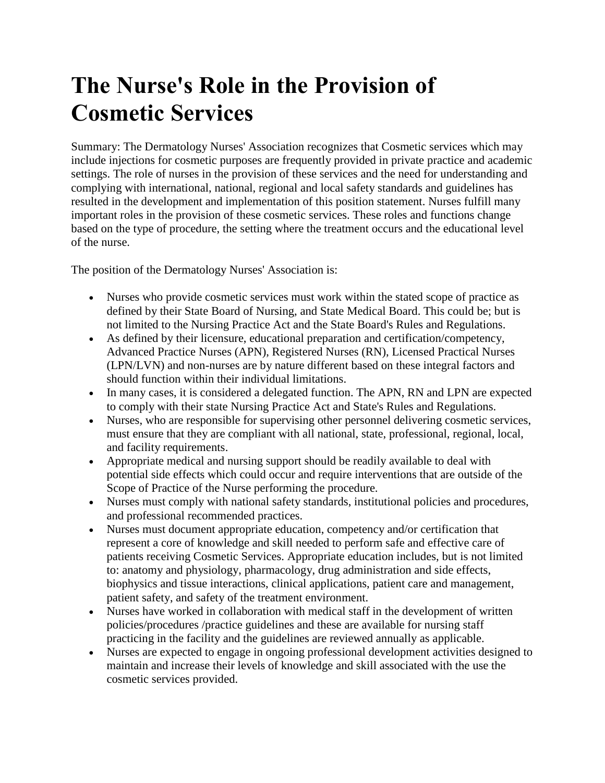## **The Nurse's Role in the Provision of Cosmetic Services**

Summary: The Dermatology Nurses' Association recognizes that Cosmetic services which may include injections for cosmetic purposes are frequently provided in private practice and academic settings. The role of nurses in the provision of these services and the need for understanding and complying with international, national, regional and local safety standards and guidelines has resulted in the development and implementation of this position statement. Nurses fulfill many important roles in the provision of these cosmetic services. These roles and functions change based on the type of procedure, the setting where the treatment occurs and the educational level of the nurse.

The position of the Dermatology Nurses' Association is:

- Nurses who provide cosmetic services must work within the stated scope of practice as defined by their State Board of Nursing, and State Medical Board. This could be; but is not limited to the Nursing Practice Act and the State Board's Rules and Regulations.
- As defined by their licensure, educational preparation and certification/competency, Advanced Practice Nurses (APN), Registered Nurses (RN), Licensed Practical Nurses (LPN/LVN) and non-nurses are by nature different based on these integral factors and should function within their individual limitations.
- In many cases, it is considered a delegated function. The APN, RN and LPN are expected to comply with their state Nursing Practice Act and State's Rules and Regulations.
- Nurses, who are responsible for supervising other personnel delivering cosmetic services, must ensure that they are compliant with all national, state, professional, regional, local, and facility requirements.
- Appropriate medical and nursing support should be readily available to deal with potential side effects which could occur and require interventions that are outside of the Scope of Practice of the Nurse performing the procedure.
- Nurses must comply with national safety standards, institutional policies and procedures, and professional recommended practices.
- Nurses must document appropriate education, competency and/or certification that represent a core of knowledge and skill needed to perform safe and effective care of patients receiving Cosmetic Services. Appropriate education includes, but is not limited to: anatomy and physiology, pharmacology, drug administration and side effects, biophysics and tissue interactions, clinical applications, patient care and management, patient safety, and safety of the treatment environment.
- Nurses have worked in collaboration with medical staff in the development of written policies/procedures /practice guidelines and these are available for nursing staff practicing in the facility and the guidelines are reviewed annually as applicable.
- Nurses are expected to engage in ongoing professional development activities designed to maintain and increase their levels of knowledge and skill associated with the use the cosmetic services provided.